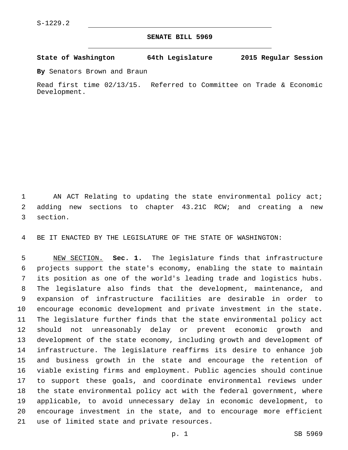## **SENATE BILL 5969**

**State of Washington 64th Legislature 2015 Regular Session**

**By** Senators Brown and Braun

Read first time 02/13/15. Referred to Committee on Trade & Economic Development.

1 AN ACT Relating to updating the state environmental policy act; adding new sections to chapter 43.21C RCW; and creating a new 3 section.

BE IT ENACTED BY THE LEGISLATURE OF THE STATE OF WASHINGTON:

 NEW SECTION. **Sec. 1.** The legislature finds that infrastructure projects support the state's economy, enabling the state to maintain its position as one of the world's leading trade and logistics hubs. The legislature also finds that the development, maintenance, and expansion of infrastructure facilities are desirable in order to encourage economic development and private investment in the state. The legislature further finds that the state environmental policy act should not unreasonably delay or prevent economic growth and development of the state economy, including growth and development of infrastructure. The legislature reaffirms its desire to enhance job and business growth in the state and encourage the retention of viable existing firms and employment. Public agencies should continue to support these goals, and coordinate environmental reviews under the state environmental policy act with the federal government, where applicable, to avoid unnecessary delay in economic development, to encourage investment in the state, and to encourage more efficient use of limited state and private resources.

p. 1 SB 5969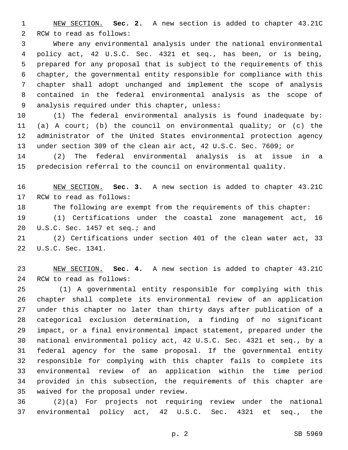NEW SECTION. **Sec. 2.** A new section is added to chapter 43.21C 2 RCW to read as follows:

 Where any environmental analysis under the national environmental policy act, 42 U.S.C. Sec. 4321 et seq., has been, or is being, prepared for any proposal that is subject to the requirements of this chapter, the governmental entity responsible for compliance with this chapter shall adopt unchanged and implement the scope of analysis contained in the federal environmental analysis as the scope of 9 analysis required under this chapter, unless:

 (1) The federal environmental analysis is found inadequate by: (a) A court; (b) the council on environmental quality; or (c) the administrator of the United States environmental protection agency under section 309 of the clean air act, 42 U.S.C. Sec. 7609; or

 (2) The federal environmental analysis is at issue in a predecision referral to the council on environmental quality.

 NEW SECTION. **Sec. 3.** A new section is added to chapter 43.21C 17 RCW to read as follows:

The following are exempt from the requirements of this chapter:

 (1) Certifications under the coastal zone management act, 16 20 U.S.C. Sec. 1457 et seq.; and

 (2) Certifications under section 401 of the clean water act, 33 22 U.S.C. Sec. 1341.

 NEW SECTION. **Sec. 4.** A new section is added to chapter 43.21C 24 RCW to read as follows:

 (1) A governmental entity responsible for complying with this chapter shall complete its environmental review of an application under this chapter no later than thirty days after publication of a categorical exclusion determination, a finding of no significant impact, or a final environmental impact statement, prepared under the national environmental policy act, 42 U.S.C. Sec. 4321 et seq., by a federal agency for the same proposal. If the governmental entity responsible for complying with this chapter fails to complete its environmental review of an application within the time period provided in this subsection, the requirements of this chapter are 35 waived for the proposal under review.

 (2)(a) For projects not requiring review under the national environmental policy act, 42 U.S.C. Sec. 4321 et seq., the